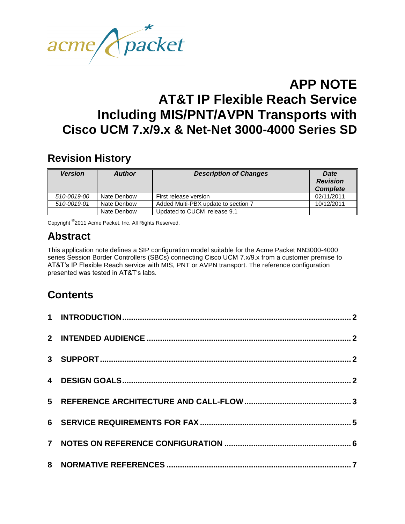

# **Revision History**

| <b>Version</b> | <b>Author</b> | <b>Description of Changes</b>       | Date<br><b>Revision</b><br><b>Complete</b> |
|----------------|---------------|-------------------------------------|--------------------------------------------|
| 510-0019-00    | Nate Denbow   | First release version               | 02/11/2011                                 |
| 510-0019-01    | Nate Denbow   | Added Multi-PBX update to section 7 | 10/12/2011                                 |
|                | Nate Denbow   | Updated to CUCM release 9.1         |                                            |

Copyright <sup>©</sup>2011 Acme Packet, Inc. All Rights Reserved.

# **Abstract**

This application note defines a SIP configuration model suitable for the Acme Packet NN3000-4000 series Session Border Controllers (SBCs) connecting Cisco UCM 7.x/9.x from a customer premise to AT&T's IP Flexible Reach service with MIS, PNT or AVPN transport. The reference configuration presented was tested in AT&T's labs.

# **Contents**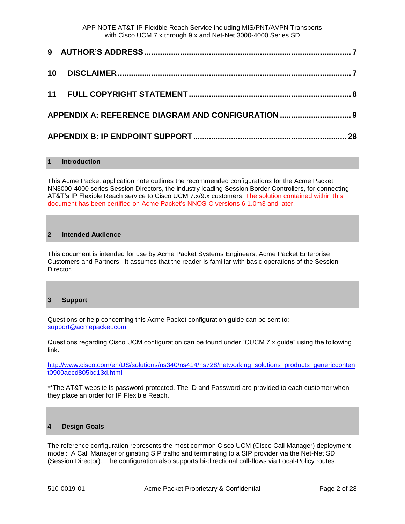# **1 Introduction**

This Acme Packet application note outlines the recommended configurations for the Acme Packet NN3000-4000 series Session Directors, the industry leading Session Border Controllers, for connecting AT&T's IP Flexible Reach service to Cisco UCM 7.x/9.x customers. The solution contained within this document has been certified on Acme Packet's NNOS-C versions 6.1.0m3 and later.

## **2 Intended Audience**

This document is intended for use by Acme Packet Systems Engineers, Acme Packet Enterprise Customers and Partners. It assumes that the reader is familiar with basic operations of the Session Director.

#### **3 Support**

Questions or help concerning this Acme Packet configuration guide can be sent to: [support@acmepacket.com](mailto:support@acmepacket.com)

Questions regarding Cisco UCM configuration can be found under "CUCM 7.x guide" using the following link:

[http://www.cisco.com/en/US/solutions/ns340/ns414/ns728/networking\\_solutions\\_products\\_genericconten](http://www.cisco.com/en/US/solutions/ns340/ns414/ns728/networking_solutions_products_genericcontent0900aecd805bd13d.html) [t0900aecd805bd13d.html](http://www.cisco.com/en/US/solutions/ns340/ns414/ns728/networking_solutions_products_genericcontent0900aecd805bd13d.html)

\*\*The AT&T website is password protected. The ID and Password are provided to each customer when they place an order for IP Flexible Reach.

#### **4 Design Goals**

The reference configuration represents the most common Cisco UCM (Cisco Call Manager) deployment model: A Call Manager originating SIP traffic and terminating to a SIP provider via the Net-Net SD (Session Director). The configuration also supports bi-directional call-flows via Local-Policy routes.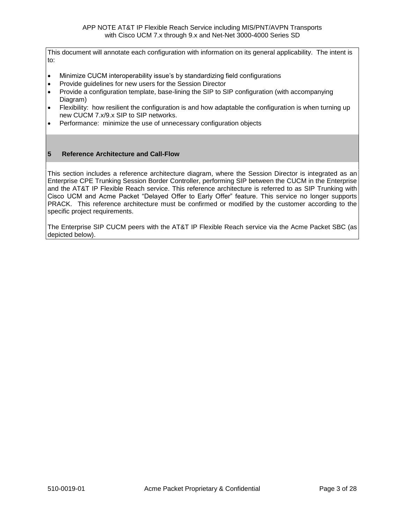This document will annotate each configuration with information on its general applicability. The intent is to:

- Minimize CUCM interoperability issue's by standardizing field configurations
- Provide guidelines for new users for the Session Director
- Provide a configuration template, base-lining the SIP to SIP configuration (with accompanying Diagram)
- Flexibility: how resilient the configuration is and how adaptable the configuration is when turning up new CUCM 7.x/9.x SIP to SIP networks.
- Performance: minimize the use of unnecessary configuration objects

# **5 Reference Architecture and Call-Flow**

This section includes a reference architecture diagram, where the Session Director is integrated as an Enterprise CPE Trunking Session Border Controller, performing SIP between the CUCM in the Enterprise and the AT&T IP Flexible Reach service. This reference architecture is referred to as SIP Trunking with Cisco UCM and Acme Packet "Delayed Offer to Early Offer" feature. This service no longer supports PRACK. This reference architecture must be confirmed or modified by the customer according to the specific project requirements.

The Enterprise SIP CUCM peers with the AT&T IP Flexible Reach service via the Acme Packet SBC (as depicted below).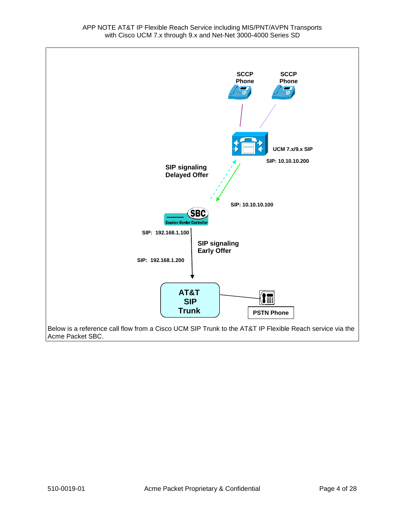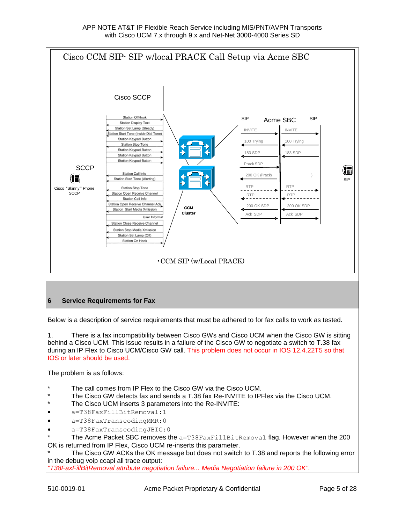

1. There is a fax incompatibility between Cisco GWs and Cisco UCM when the Cisco GW is sitting behind a Cisco UCM. This issue results in a failure of the Cisco GW to negotiate a switch to T.38 fax during an IP Flex to Cisco UCM/Cisco GW call. This problem does not occur in IOS 12.4.22T5 so that IOS or later should be used.

The problem is as follows:

- The call comes from IP Flex to the Cisco GW via the Cisco UCM.
- The Cisco GW detects fax and sends a T.38 fax Re-INVITE to IPFlex via the Cisco UCM.
- The Cisco UCM inserts 3 parameters into the Re-INVITE:
- a=T38FaxFillBitRemoval:1
- a=T38FaxTranscodingMMR:0
- a=T38FaxTranscodingJBIG:0

The Acme Packet SBC removes the  $a=T38FaxFillBitRemoval$  flag. However when the 200 OK is returned from IP Flex, Cisco UCM re-inserts this parameter.

The Cisco GW ACKs the OK message but does not switch to T.38 and reports the following error in the debug voip ccapi all trace output:

*"T38FaxFillBitRemoval attribute negotiation failure... Media Negotiation failure in 200 OK".*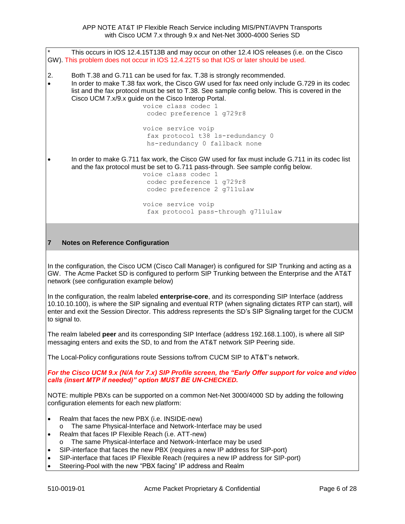This occurs in IOS 12.4.15T13B and may occur on other 12.4 IOS releases (i.e. on the Cisco GW). This problem does not occur in IOS 12.4.22T5 so that IOS or later should be used. 2. Both T.38 and G.711 can be used for fax. T.38 is strongly recommended. In order to make T.38 fax work, the Cisco GW used for fax need only include G.729 in its codec list and the fax protocol must be set to T.38. See sample config below. This is covered in the Cisco UCM 7.x/9.x guide on the Cisco Interop Portal. voice class codec 1 codec preference 1 g729r8 voice service voip fax protocol t38 ls-redundancy 0 hs-redundancy 0 fallback none In order to make G.711 fax work, the Cisco GW used for fax must include G.711 in its codec list and the fax protocol must be set to G.711 pass-through. See sample config below. voice class codec 1 codec preference 1 g729r8 codec preference 2 g711ulaw voice service voip fax protocol pass-through g711ulaw

## **7 Notes on Reference Configuration**

In the configuration, the Cisco UCM (Cisco Call Manager) is configured for SIP Trunking and acting as a GW. The Acme Packet SD is configured to perform SIP Trunking between the Enterprise and the AT&T network (see configuration example below)

In the configuration, the realm labeled **enterprise-core**, and its corresponding SIP Interface (address 10.10.10.100), is where the SIP signaling and eventual RTP (when signaling dictates RTP can start), will enter and exit the Session Director. This address represents the SD's SIP Signaling target for the CUCM to signal to.

The realm labeled **peer** and its corresponding SIP Interface (address 192.168.1.100), is where all SIP messaging enters and exits the SD, to and from the AT&T network SIP Peering side.

The Local-Policy configurations route Sessions to/from CUCM SIP to AT&T's network.

*For the Cisco UCM 9.x (N/A for 7.x) SIP Profile screen, the "Early Offer support for voice and video calls (insert MTP if needed)" option MUST BE UN-CHECKED.*

NOTE: multiple PBXs can be supported on a common Net-Net 3000/4000 SD by adding the following configuration elements for each new platform:

- Realm that faces the new PBX (i.e. INSIDE-new)
	- o The same Physical-Interface and Network-Interface may be used
- Realm that faces IP Flexible Reach (i.e. ATT-new)
- The same Physical-Interface and Network-Interface may be used
- SIP-interface that faces the new PBX (requires a new IP address for SIP-port)
- SIP-interface that faces IP Flexible Reach (requires a new IP address for SIP-port)
- Steering-Pool with the new "PBX facing" IP address and Realm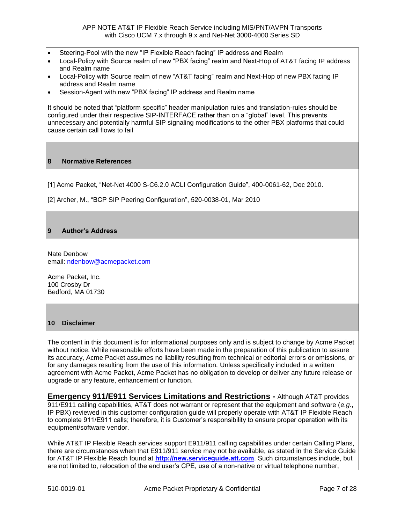- Steering-Pool with the new "IP Flexible Reach facing" IP address and Realm
- Local-Policy with Source realm of new "PBX facing" realm and Next-Hop of AT&T facing IP address and Realm name
- Local-Policy with Source realm of new "AT&T facing" realm and Next-Hop of new PBX facing IP address and Realm name
- Session-Agent with new "PBX facing" IP address and Realm name

It should be noted that "platform specific" header manipulation rules and translation-rules should be configured under their respective SIP-INTERFACE rather than on a "global" level. This prevents unnecessary and potentially harmful SIP signaling modifications to the other PBX platforms that could cause certain call flows to fail

#### **8 Normative References**

[1] Acme Packet, "Net-Net 4000 S-C6.2.0 ACLI Configuration Guide", 400-0061-62, Dec 2010.

[2] Archer, M., "BCP SIP Peering Configuration", 520-0038-01, Mar 2010

## **9 Author's Address**

Nate Denbow email: [ndenbow@acmepacket.com](mailto:ndenbow@acmepacket.com)

Acme Packet, Inc. 100 Crosby Dr Bedford, MA 01730

#### **10 Disclaimer**

The content in this document is for informational purposes only and is subject to change by Acme Packet without notice. While reasonable efforts have been made in the preparation of this publication to assure its accuracy, Acme Packet assumes no liability resulting from technical or editorial errors or omissions, or for any damages resulting from the use of this information. Unless specifically included in a written agreement with Acme Packet, Acme Packet has no obligation to develop or deliver any future release or upgrade or any feature, enhancement or function.

**Emergency 911/E911 Services Limitations and Restrictions -** Although AT&T provides 911/E911 calling capabilities, AT&T does not warrant or represent that the equipment and software (*e.g*., IP PBX) reviewed in this customer configuration guide will properly operate with AT&T IP Flexible Reach to complete 911/E911 calls; therefore, it is Customer's responsibility to ensure proper operation with its equipment/software vendor.

While AT&T IP Flexible Reach services support E911/911 calling capabilities under certain Calling Plans, there are circumstances when that E911/911 service may not be available, as stated in the Service Guide for AT&T IP Flexible Reach found at **[http://new.serviceguide.att.com](http://new.serviceguide.att.com/)**. Such circumstances include, but are not limited to, relocation of the end user's CPE, use of a non-native or virtual telephone number,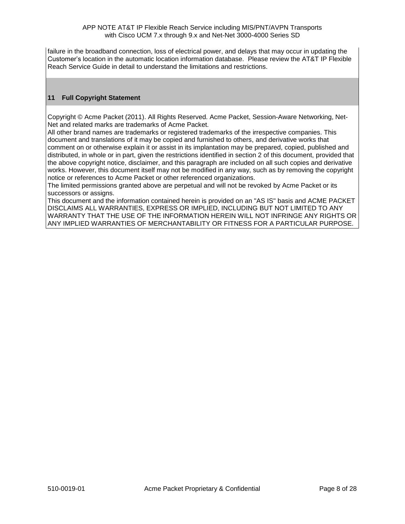failure in the broadband connection, loss of electrical power, and delays that may occur in updating the Customer's location in the automatic location information database. Please review the AT&T IP Flexible Reach Service Guide in detail to understand the limitations and restrictions.

# **11 Full Copyright Statement**

Copyright © Acme Packet (2011). All Rights Reserved. Acme Packet, Session-Aware Networking, Net-Net and related marks are trademarks of Acme Packet.

All other brand names are trademarks or registered trademarks of the irrespective companies. This document and translations of it may be copied and furnished to others, and derivative works that comment on or otherwise explain it or assist in its implantation may be prepared, copied, published and distributed, in whole or in part, given the restrictions identified in section 2 of this document, provided that the above copyright notice, disclaimer, and this paragraph are included on all such copies and derivative works. However, this document itself may not be modified in any way, such as by removing the copyright notice or references to Acme Packet or other referenced organizations.

The limited permissions granted above are perpetual and will not be revoked by Acme Packet or its successors or assigns.

This document and the information contained herein is provided on an "AS IS" basis and ACME PACKET DISCLAIMS ALL WARRANTIES, EXPRESS OR IMPLIED, INCLUDING BUT NOT LIMITED TO ANY WARRANTY THAT THE USE OF THE INFORMATION HEREIN WILL NOT INFRINGE ANY RIGHTS OR ANY IMPLIED WARRANTIES OF MERCHANTABILITY OR FITNESS FOR A PARTICULAR PURPOSE.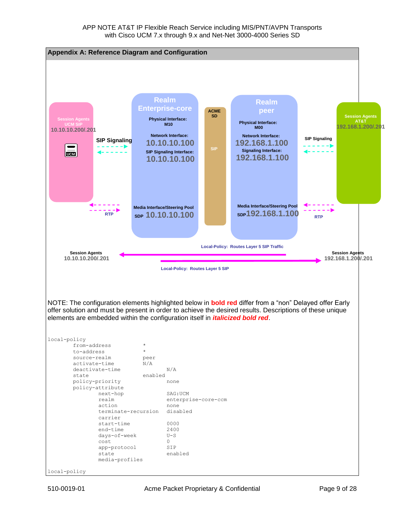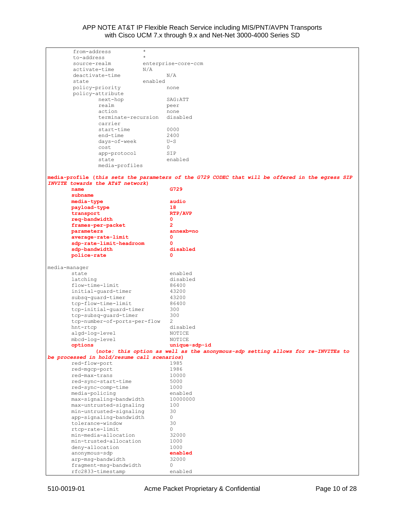|               | from-address                                | $\star$ |                                                                                                  |
|---------------|---------------------------------------------|---------|--------------------------------------------------------------------------------------------------|
|               | to-address                                  | $\star$ |                                                                                                  |
|               | source-realm                                |         | enterprise-core-ccm                                                                              |
|               | activate-time                               | N/A     |                                                                                                  |
|               | deactivate-time                             |         | N/A                                                                                              |
| state         |                                             | enabled |                                                                                                  |
|               | policy-priority                             |         | none                                                                                             |
|               | policy-attribute                            |         |                                                                                                  |
|               | next-hop                                    |         | SAG: ATT                                                                                         |
|               | realm                                       |         | peer                                                                                             |
|               | action                                      |         | none                                                                                             |
|               | terminate-recursion                         |         | disabled                                                                                         |
|               | carrier                                     |         |                                                                                                  |
|               | start-time                                  |         | 0000                                                                                             |
|               | end-time                                    |         | 2400                                                                                             |
|               | days-of-week                                |         | $U-S$                                                                                            |
|               | cost                                        |         | 0                                                                                                |
|               | app-protocol                                |         | SIP                                                                                              |
|               | state                                       |         | enabled                                                                                          |
|               | media-profiles                              |         |                                                                                                  |
|               |                                             |         |                                                                                                  |
|               |                                             |         | media-profile (this sets the parameters of the G729 CODEC that will be offered in the egress SIP |
|               | INVITE towards the AT&T network)            |         |                                                                                                  |
| name          |                                             |         | G729                                                                                             |
| subname       |                                             |         |                                                                                                  |
|               | media-type                                  |         | audio                                                                                            |
|               | payload-type                                |         | 18                                                                                               |
|               | transport                                   |         | RTP/AVP                                                                                          |
|               | req-bandwidth                               |         | 0                                                                                                |
|               | frames-per-packet                           |         | $\overline{2}$                                                                                   |
|               | parameters                                  |         | annexb=no                                                                                        |
|               | average-rate-limit                          |         | 0                                                                                                |
|               | sdp-rate-limit-headroom                     |         | 0                                                                                                |
|               | sdp-bandwidth                               |         | disabled                                                                                         |
|               | police-rate                                 |         | 0                                                                                                |
|               |                                             |         |                                                                                                  |
| media-manager |                                             |         |                                                                                                  |
| state         |                                             |         | enabled                                                                                          |
|               |                                             |         | disabled                                                                                         |
|               |                                             |         |                                                                                                  |
| latching      |                                             |         |                                                                                                  |
|               | flow-time-limit                             |         | 86400                                                                                            |
|               | initial-quard-timer                         |         | 43200                                                                                            |
|               | subsq-quard-timer                           |         | 43200                                                                                            |
|               | tcp-flow-time-limit                         |         | 86400                                                                                            |
|               | tcp-initial-quard-timer                     |         | 300                                                                                              |
|               | tcp-subsq-quard-timer                       |         | 300                                                                                              |
|               | tcp-number-of-ports-per-flow                |         | 2                                                                                                |
| hnt-rtcp      |                                             |         | disabled                                                                                         |
|               | algd-log-level                              |         | NOTICE                                                                                           |
|               | mbcd-log-level                              |         | NOTICE                                                                                           |
| options       |                                             |         | unique-sdp-id                                                                                    |
|               |                                             |         | (note: this option as well as the anonymous-sdp setting allows for re-INVITEs to                 |
|               | be processed in hold/resume call scenarios) |         |                                                                                                  |
|               | red-flow-port                               |         | 1985                                                                                             |
|               | red-mgcp-port                               |         | 1986                                                                                             |
|               | red-max-trans                               |         | 10000                                                                                            |
|               | red-sync-start-time                         |         | 5000                                                                                             |
|               | red-sync-comp-time                          |         | 1000                                                                                             |
|               | media-policing                              |         | enabled                                                                                          |
|               | max-signaling-bandwidth                     |         | 10000000                                                                                         |
|               | max-untrusted-signaling                     |         | 100                                                                                              |
|               | min-untrusted-signaling                     |         | 30                                                                                               |
|               | app-signaling-bandwidth                     |         | 0                                                                                                |
|               | tolerance-window                            |         | 30                                                                                               |
|               | rtcp-rate-limit                             |         | 0                                                                                                |
|               | min-media-allocation                        |         | 32000                                                                                            |
|               | min-trusted-allocation                      |         | 1000                                                                                             |
|               | deny-allocation                             |         | 1000                                                                                             |
|               | anonymous-sdp                               |         | enabled                                                                                          |
|               | arp-msq-bandwidth                           |         | 32000                                                                                            |
|               | fragment-msg-bandwidth<br>rfc2833-timestamp |         | 0<br>enabled                                                                                     |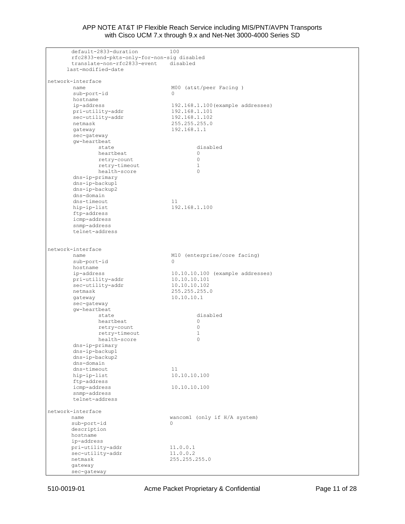default-2833-duration 100 rfc2833-end-pkts-only-for-non-sig disabled translate-non-rfc2833-event disabled last-modified-date network-interface name M00 (at&t/peer Facing ) name<br>sub-port-id 0 hostname ip-address 192.168.1.100(example addresses) pri-utility-addr 192.168.1.101 sec-utility-addr 192.168.1.102 netmask 255.255.255.0 gateway 192.168.1.1 sec-gateway gw-heartbeat state disabled disabled beartbeat  $\begin{array}{ccc} 0 & 0 & 0 \end{array}$ heartbeat 0 retry-count 0 retry-timeout 1<br>health-score 0 health-score 0 dns-ip-primary dns-ip-backup1 dns-ip-backup2 dns-domain dns-timeout dns-timeout 11<br>
hip-ip-list 192.168.1.100 ftp-address icmp-address snmp-address telnet-address network-interface name M10 (enterprise/core facing) sub-port-id 0 hostname ip-address 10.10.10.100 (example addresses) pri-utility-addr 10.10.10.101 sec-utility-addr 10.10.10.102 netmask 255.255.255.0 gateway 10.10.10.1 sec-gateway gw-heartbeat state disabled heartbeat 0 retry-count 0 retry-timeout 1<br>health-score 0 health-score dns-ip-primary dns-ip-backup1 dns-ip-backup2 dns-domain dns-timeout 11 hip-ip-list 10.10.10.100 ftp-address icmp-address 10.10.10.100 snmp-address telnet-address network-interface name wancom1 (only if H/A system)<br>sub-port-id 0 sub-port-id 0 description hostname ip-address pri-utility-addr 11.0.0.1 sec-utility-addr 11.0.0.2 netmask 255.255.255.0 gateway sec-gateway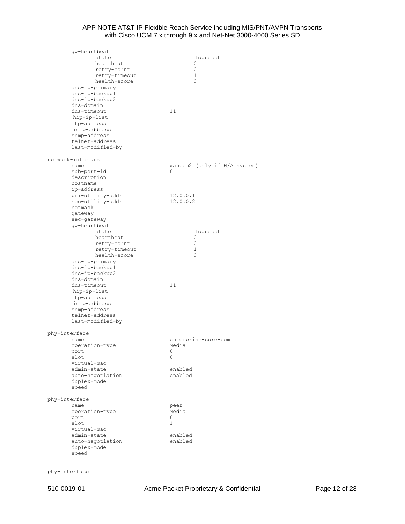| gw-heartbeat      |                              |
|-------------------|------------------------------|
| state             | disabled                     |
| heartbeat         | $\circ$                      |
| retry-count       | $\circ$                      |
| retry-timeout     | $\mathbf{1}$                 |
| health-score      | $\circ$                      |
| dns-ip-primary    |                              |
| dns-ip-backup1    |                              |
| dns-ip-backup2    |                              |
| dns-domain        |                              |
| dns-timeout       | 11                           |
| hip-ip-list       |                              |
| ftp-address       |                              |
| icmp-address      |                              |
| snmp-address      |                              |
| telnet-address    |                              |
| last-modified-by  |                              |
| network-interface |                              |
| name              | wancom2 (only if H/A system) |
| sub-port-id       | $\Omega$                     |
| description       |                              |
| hostname          |                              |
| ip-address        |                              |
| pri-utility-addr  | 12.0.0.1                     |
| sec-utility-addr  | 12.0.0.2                     |
| netmask           |                              |
| gateway           |                              |
| sec-gateway       |                              |
| gw-heartbeat      |                              |
| state             | disabled                     |
| heartbeat         | 0                            |
| retry-count       | $\circ$                      |
| retry-timeout     | $\mathbf{1}$                 |
| health-score      | $\circ$                      |
| dns-ip-primary    |                              |
| dns-ip-backup1    |                              |
| dns-ip-backup2    |                              |
| dns-domain        |                              |
| dns-timeout       | 11                           |
| hip-ip-list       |                              |
| ftp-address       |                              |
| icmp-address      |                              |
| snmp-address      |                              |
| telnet-address    |                              |
| last-modified-by  |                              |
| phy-interface     |                              |
| name              | enterprise-core-ccm          |
| operation-type    | Media                        |
| port              | 0                            |
| slot              | $\circ$                      |
| virtual-mac       |                              |
| admin-state       | enabled                      |
| auto-negotiation  | enabled                      |
| duplex-mode       |                              |
| speed             |                              |
| phy-interface     |                              |
| name              | peer                         |
| operation-type    | Media                        |
| port              | 0                            |
| slot              | $\mathbf{1}$                 |
| virtual-mac       |                              |
| admin-state       | enabled                      |
| auto-negotiation  | enabled                      |
| duplex-mode       |                              |
| speed             |                              |
|                   |                              |
|                   |                              |
| phy-interface     |                              |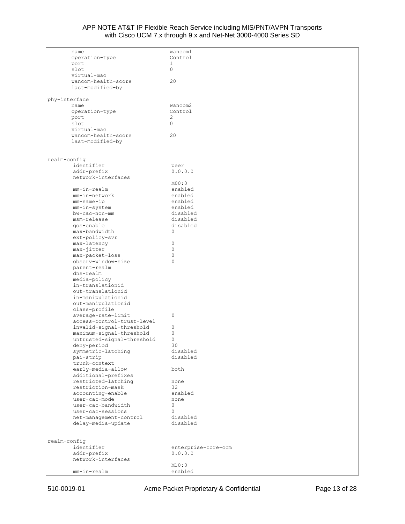| name                       | wancom1             |
|----------------------------|---------------------|
|                            |                     |
| operation-type             | Control             |
| port                       | $\mathbf{1}$        |
|                            | $\circ$             |
| slot                       |                     |
| virtual-mac                |                     |
| wancom-health-score        | 20                  |
|                            |                     |
| last-modified-by           |                     |
|                            |                     |
|                            |                     |
| phy-interface              |                     |
|                            |                     |
| name                       | wancom2             |
| operation-type             | Control             |
| port                       | 2                   |
|                            |                     |
| slot                       | $\circ$             |
| virtual-mac                |                     |
|                            |                     |
| wancom-health-score        | 20                  |
| last-modified-by           |                     |
|                            |                     |
|                            |                     |
|                            |                     |
|                            |                     |
| realm-config               |                     |
| identifier                 | peer                |
|                            |                     |
| addr-prefix                | 0.0.0.0             |
| network-interfaces         |                     |
|                            |                     |
|                            | MOO:O               |
| mm-in-realm                | enabled             |
|                            |                     |
| mm-in-network              | enabled             |
| $mm$ -same-ip              | enabled             |
|                            |                     |
| mm-in-system               | enabled             |
| bw-cac-non-mm              | disabled            |
|                            |                     |
| msm-release                | disabled            |
| gos-enable                 | disabled            |
| max-bandwidth              | 0                   |
|                            |                     |
| ext-policy-svr             |                     |
| max-latency                | $\mathbf 0$         |
|                            |                     |
| max-jitter                 | $\mathbf 0$         |
| max-packet-loss            | $\mathbf 0$         |
|                            |                     |
| observ-window-size         | $\mathbf{0}$        |
| parent-realm               |                     |
|                            |                     |
| dns-realm                  |                     |
| media-policy               |                     |
|                            |                     |
| in-translationid           |                     |
| out-translationid          |                     |
|                            |                     |
| in-manipulationid          |                     |
| out-manipulationid         |                     |
|                            |                     |
| class-profile              |                     |
| average-rate-limit         | 0                   |
| access-control-trust-level |                     |
|                            |                     |
| invalid-signal-threshold   | 0                   |
| maximum-signal-threshold   | $\mathbf 0$         |
|                            |                     |
| untrusted-signal-threshold | $\mathbf 0$         |
| deny-period                | 30                  |
|                            | disabled            |
| symmetric-latching         |                     |
| pai-strip                  | disabled            |
| trunk-context              |                     |
|                            |                     |
| early-media-allow          | both                |
| additional-prefixes        |                     |
|                            |                     |
| restricted-latching        | none                |
| restriction-mask           | 32                  |
|                            | enabled             |
| accounting-enable          |                     |
| user-cac-mode              | none                |
| user-cac-bandwidth         | 0                   |
|                            |                     |
| user-cac-sessions          | $\Omega$            |
| net-management-control     | disabled            |
|                            |                     |
| delay-media-update         | disabled            |
|                            |                     |
|                            |                     |
|                            |                     |
| realm-config               |                     |
| identifier                 | enterprise-core-ccm |
|                            |                     |
| addr-prefix                | 0.0.0.0             |
| network-interfaces         |                     |
|                            |                     |
|                            | M10:0               |
| mm-in-realm                | enabled             |
|                            |                     |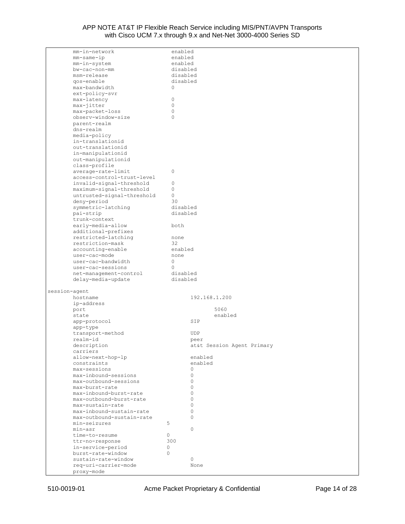| mm-in-network                      | enabled     |                            |
|------------------------------------|-------------|----------------------------|
| mm-same-ip                         | enabled     |                            |
|                                    |             |                            |
| mm-in-system                       | enabled     |                            |
| bw-cac-non-mm                      | disabled    |                            |
|                                    |             |                            |
| msm-release                        | disabled    |                            |
| qos-enable                         | disabled    |                            |
| max-bandwidth                      | 0           |                            |
|                                    |             |                            |
| ext-policy-svr                     |             |                            |
| max-latency                        | 0           |                            |
|                                    |             |                            |
| max-jitter                         | $\mathbf 0$ |                            |
| max-packet-loss                    | $\Omega$    |                            |
| observ-window-size                 | $\circ$     |                            |
|                                    |             |                            |
| parent-realm                       |             |                            |
| dns-realm                          |             |                            |
|                                    |             |                            |
| media-policy                       |             |                            |
| in-translationid                   |             |                            |
|                                    |             |                            |
| out-translationid                  |             |                            |
| in-manipulationid                  |             |                            |
| out-manipulationid                 |             |                            |
|                                    |             |                            |
| class-profile                      |             |                            |
| average-rate-limit                 | 0           |                            |
| access-control-trust-level         |             |                            |
|                                    |             |                            |
| invalid-signal-threshold           | 0           |                            |
| maximum-signal-threshold           | $\mathbb O$ |                            |
|                                    |             |                            |
| untrusted-signal-threshold         | 0           |                            |
| deny-period                        | 30          |                            |
|                                    | disabled    |                            |
| symmetric-latching                 |             |                            |
| pai-strip                          | disabled    |                            |
| trunk-context                      |             |                            |
|                                    |             |                            |
| early-media-allow                  | both        |                            |
| additional-prefixes                |             |                            |
|                                    |             |                            |
| restricted-latching                | none        |                            |
| restriction-mask                   | 32          |                            |
| accounting-enable                  | enabled     |                            |
|                                    |             |                            |
| user-cac-mode                      | none        |                            |
| user-cac-bandwidth                 | 0           |                            |
| user-cac-sessions                  | $\Omega$    |                            |
|                                    |             |                            |
| net-management-control             | disabled    |                            |
| delay-media-update                 | disabled    |                            |
|                                    |             |                            |
|                                    |             |                            |
| session-agent                      |             |                            |
| hostname                           |             | 192.168.1.200              |
|                                    |             |                            |
| ip-address                         |             |                            |
| port                               |             | 5060                       |
|                                    |             |                            |
| state                              |             | enabled                    |
| app-protocol                       |             | SIP                        |
| app-type                           |             |                            |
|                                    |             |                            |
| transport-method                   |             | UDP                        |
| realm-id                           |             | peer                       |
|                                    |             |                            |
| description                        |             | at&t Session Agent Primary |
| carriers                           |             |                            |
| allow-next-hop-lp                  |             | enabled                    |
|                                    |             |                            |
| constraints                        |             | enabled                    |
| max-sessions                       |             | $\circ$                    |
|                                    |             | $\circ$                    |
|                                    |             |                            |
| max-inbound-sessions               |             |                            |
| max-outbound-sessions              |             | $\Omega$                   |
|                                    |             | $\Omega$                   |
| max-burst-rate                     |             |                            |
| max-inbound-burst-rate             |             | $\Omega$                   |
| max-outbound-burst-rate            |             | $\Omega$                   |
|                                    |             | $\Omega$                   |
| max-sustain-rate                   |             |                            |
| max-inbound-sustain-rate           |             | 0                          |
| max-outbound-sustain-rate          |             | $\Omega$                   |
|                                    |             |                            |
| min-seizures                       | 5           |                            |
| min-asr                            |             | $\Omega$                   |
| time-to-resume                     | 0           |                            |
|                                    |             |                            |
| ttr-no-response                    | 300         |                            |
| in-service-period                  | $\circ$     |                            |
|                                    |             |                            |
| burst-rate-window                  | $\Omega$    |                            |
| sustain-rate-window                |             | $\circ$                    |
|                                    |             | None                       |
| req-uri-carrier-mode<br>proxy-mode |             |                            |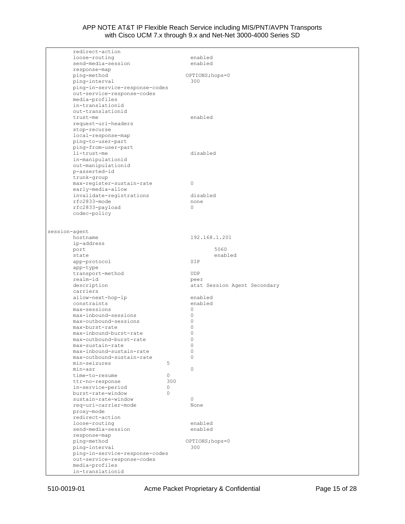| redirect-action             |                                |     |                              |
|-----------------------------|--------------------------------|-----|------------------------------|
| loose-routing               |                                |     | enabled                      |
|                             | send-media-session             |     | enabled                      |
| response-map                |                                |     |                              |
| ping-method                 |                                |     | OPTIONS; hops=0              |
| ping-interval               |                                |     | 300                          |
|                             | ping-in-service-response-codes |     |                              |
|                             | out-service-response-codes     |     |                              |
| media-profiles              |                                |     |                              |
|                             | in-translationid               |     |                              |
|                             | out-translationid              |     |                              |
| trust-me                    |                                |     | enabled                      |
|                             | request-uri-headers            |     |                              |
| stop-recurse                |                                |     |                              |
|                             | local-response-map             |     |                              |
|                             | ping-to-user-part              |     |                              |
|                             | ping-from-user-part            |     |                              |
| li-trust-me                 |                                |     | disabled                     |
|                             | in-manipulationid              |     |                              |
|                             | out-manipulationid             |     |                              |
| p-asserted-id               |                                |     |                              |
| trunk-group                 | max-register-sustain-rate      |     | $\circ$                      |
|                             | early-media-allow              |     |                              |
|                             | invalidate-registrations       |     | disabled                     |
| rfc2833-mode                |                                |     | none                         |
| rfc2833-payload             |                                |     | $\Omega$                     |
| codec-policy                |                                |     |                              |
|                             |                                |     |                              |
|                             |                                |     |                              |
| session-agent               |                                |     |                              |
| hostname                    |                                |     | 192.168.1.201                |
| ip-address                  |                                |     |                              |
| port                        |                                |     | 5060                         |
| state                       |                                |     | enabled                      |
| app-protocol                |                                |     | SIP                          |
| app-type                    |                                |     |                              |
|                             | transport-method               |     | <b>UDP</b>                   |
| realm-id                    |                                |     | peer                         |
| description                 |                                |     | at&t Session Agent Secondary |
| carriers                    |                                |     |                              |
|                             | allow-next-hop-lp              |     | enabled<br>enabled           |
| constraints<br>max-sessions |                                |     |                              |
|                             | max-inbound-sessions           |     | $\circ$<br>$\circ$           |
|                             | max-outbound-sessions          |     | $\circ$                      |
| max-burst-rate              |                                |     | $\Omega$                     |
|                             | max-inbound-burst-rate         |     | 0                            |
|                             | max-outbound-burst-rate        |     | 0                            |
|                             | max-sustain-rate               |     | 0                            |
|                             | max-inbound-sustain-rate       |     | 0                            |
|                             | max-outbound-sustain-rate      |     | 0                            |
| min-seizures                |                                | 5   |                              |
| min-asr                     |                                |     | $\circ$                      |
| time-to-resume              |                                | 0   |                              |
| ttr-no-response             |                                | 300 |                              |
|                             | in-service-period              | 0   |                              |
|                             | burst-rate-window              | 0   |                              |
|                             | sustain-rate-window            |     | $\circ$                      |
|                             | req-uri-carrier-mode           |     | None                         |
| proxy-mode                  |                                |     |                              |
| redirect-action             |                                |     |                              |
| loose-routing               |                                |     | enabled                      |
|                             | send-media-session             |     | enabled                      |
| response-map                |                                |     |                              |
| ping-method                 |                                |     | OPTIONS; hops=0              |
| ping-interval               |                                |     | 300                          |
|                             | ping-in-service-response-codes |     |                              |
| media-profiles              | out-service-response-codes     |     |                              |
|                             | in-translationid               |     |                              |
|                             |                                |     |                              |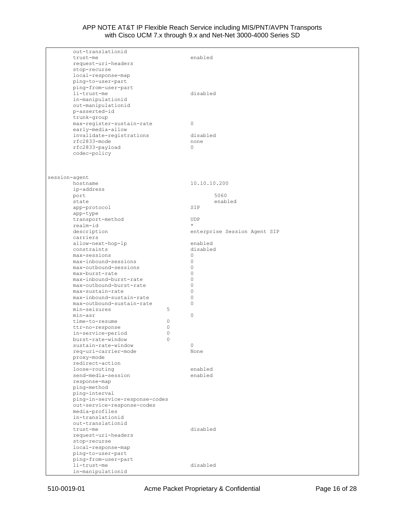| out-translationid              |                              |
|--------------------------------|------------------------------|
| trust-me                       | enabled                      |
| request-uri-headers            |                              |
| stop-recurse                   |                              |
| local-response-map             |                              |
| ping-to-user-part              |                              |
|                                |                              |
| ping-from-user-part            |                              |
| li-trust-me                    | disabled                     |
| in-manipulationid              |                              |
| out-manipulationid             |                              |
| p-asserted-id                  |                              |
| trunk-group                    |                              |
| max-register-sustain-rate      | 0                            |
| early-media-allow              |                              |
| invalidate-registrations       | disabled                     |
| rfc2833-mode                   | none                         |
| rfc2833-payload                | $\Omega$                     |
| codec-policy                   |                              |
|                                |                              |
|                                |                              |
|                                |                              |
| session-agent                  |                              |
| hostname                       | 10.10.10.200                 |
|                                |                              |
| ip-address                     |                              |
| port                           | 5060                         |
| state                          | enabled                      |
| app-protocol                   | SIP                          |
| app-type                       |                              |
| transport-method               | <b>UDP</b>                   |
| realm-id                       | $\star$                      |
| description                    | enterprise Session Agent SIP |
| carriers                       |                              |
| allow-next-hop-lp              | enabled                      |
| constraints                    | disabled                     |
| max-sessions                   | 0                            |
| max-inbound-sessions           | 0                            |
| max-outbound-sessions          | 0                            |
| max-burst-rate                 | $\Omega$                     |
|                                | $\Omega$                     |
| max-inbound-burst-rate         |                              |
| max-outbound-burst-rate        | 0                            |
| max-sustain-rate               | $\Omega$                     |
| max-inbound-sustain-rate       | 0                            |
| max-outbound-sustain-rate      | 0                            |
| min-seizures<br>5              |                              |
| min-asr                        | 0                            |
| time-to-resume<br>0            |                              |
| ttr-no-response<br>0           |                              |
| in-service-period<br>0         |                              |
| burst-rate-window<br>0         |                              |
| sustain-rate-window            |                              |
| req-uri-carrier-mode           | None                         |
| proxy-mode                     |                              |
| redirect-action                |                              |
| loose-routing                  | enabled                      |
| send-media-session             |                              |
|                                | enabled                      |
| response-map                   |                              |
| ping-method                    |                              |
| ping-interval                  |                              |
| ping-in-service-response-codes |                              |
| out-service-response-codes     |                              |
| media-profiles                 |                              |
| in-translationid               |                              |
| out-translationid              |                              |
| trust-me                       | disabled                     |
| request-uri-headers            |                              |
| stop-recurse                   |                              |
| local-response-map             |                              |
| ping-to-user-part              |                              |
| ping-from-user-part            |                              |
| li-trust-me                    | disabled                     |
|                                |                              |
| in-manipulationid              |                              |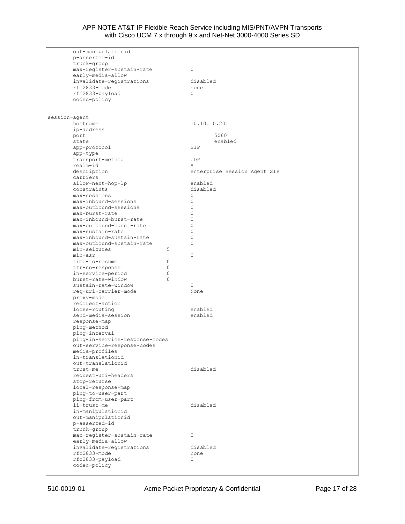| out-manipulationid             |          |                              |
|--------------------------------|----------|------------------------------|
| p-asserted-id                  |          |                              |
| trunk-group                    |          |                              |
| max-register-sustain-rate      |          | $\mathbf{0}$                 |
| early-media-allow              |          |                              |
| invalidate-registrations       |          | disabled                     |
| rfc2833-mode                   |          | none                         |
| rfc2833-payload                |          | $\Omega$                     |
| codec-policy                   |          |                              |
|                                |          |                              |
|                                |          |                              |
| session-agent                  |          |                              |
| hostname                       |          | 10.10.10.201                 |
| ip-address                     |          |                              |
| port                           |          | 5060                         |
| state                          |          | enabled                      |
| app-protocol                   |          | SIP                          |
| app-type                       |          |                              |
| transport-method               |          | <b>UDP</b>                   |
| realm-id                       |          | $\star$                      |
| description                    |          | enterprise Session Agent SIP |
| carriers                       |          |                              |
|                                |          | enabled                      |
| allow-next-hop-lp              |          |                              |
| constraints<br>max-sessions    |          | disabled<br>$\Omega$         |
|                                |          |                              |
| max-inbound-sessions           |          | 0                            |
| max-outbound-sessions          |          | 0                            |
| max-burst-rate                 |          | 0                            |
| max-inbound-burst-rate         |          | 0                            |
| max-outbound-burst-rate        |          | 0                            |
| max-sustain-rate               |          | 0                            |
| max-inbound-sustain-rate       |          | 0                            |
| max-outbound-sustain-rate      |          | 0                            |
| min-seizures                   | 5        |                              |
| min-asr                        |          | $\circ$                      |
| time-to-resume                 | 0        |                              |
| ttr-no-response                | 0        |                              |
| in-service-period              | 0        |                              |
| burst-rate-window              | $\Omega$ |                              |
| sustain-rate-window            |          | 0                            |
| req-uri-carrier-mode           |          | None                         |
| proxy-mode                     |          |                              |
| redirect-action                |          |                              |
| loose-routing                  |          | enabled                      |
| send-media-session             |          | enabled                      |
| response-map                   |          |                              |
| ping-method                    |          |                              |
| ping-interval                  |          |                              |
| ping-in-service-response-codes |          |                              |
| out-service-response-codes     |          |                              |
|                                |          |                              |
| media-profiles                 |          |                              |
| in-translationid               |          |                              |
| out-translationid              |          |                              |
| trust-me                       |          | disabled                     |
| request-uri-headers            |          |                              |
| stop-recurse                   |          |                              |
| local-response-map             |          |                              |
| ping-to-user-part              |          |                              |
| ping-from-user-part            |          |                              |
| li-trust-me                    |          | disabled                     |
| in-manipulationid              |          |                              |
| out-manipulationid             |          |                              |
| p-asserted-id                  |          |                              |
| trunk-group                    |          |                              |
| max-register-sustain-rate      |          | 0                            |
| early-media-allow              |          |                              |
| invalidate-registrations       |          | disabled                     |
| rfc2833-mode                   |          | none                         |
| rfc2833-payload                |          | 0                            |
| codec-policy                   |          |                              |
|                                |          |                              |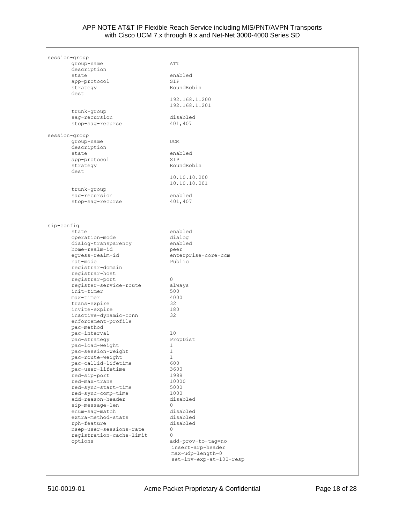| session-group                          |                                       |
|----------------------------------------|---------------------------------------|
| qroup-name                             | ATT                                   |
| description<br>state                   | enabled                               |
| app-protocol                           | SIP                                   |
| strategy                               | RoundRobin                            |
| dest                                   | 192.168.1.200                         |
|                                        | 192.168.1.201                         |
| trunk-group                            |                                       |
| sag-recursion                          | disabled                              |
| stop-sag-recurse                       | 401,407                               |
| session-group                          |                                       |
| group-name                             | <b>UCM</b>                            |
| description                            |                                       |
| state                                  | enabled<br>SIP                        |
| app-protocol<br>strategy               | RoundRobin                            |
| dest                                   |                                       |
|                                        | 10.10.10.200                          |
| trunk-group                            | 10.10.10.201                          |
| sag-recursion                          | enabled                               |
| stop-sag-recurse                       | 401,407                               |
|                                        |                                       |
|                                        |                                       |
| sip-config                             |                                       |
| state                                  | enabled                               |
| operation-mode                         | dialog                                |
| dialog-transparency<br>home-realm-id   | enabled<br>peer                       |
| egress-realm-id                        | enterprise-core-ccm                   |
| nat-mode                               | Public                                |
| registrar-domain                       |                                       |
| registrar-host<br>registrar-port       | 0                                     |
| register-service-route                 | always                                |
| init-timer                             | 500                                   |
| max-timer                              | 4000                                  |
| trans-expire                           | 32                                    |
| invite-expire<br>inactive-dynamic-conn | 180<br>32                             |
| enforcement-profile                    |                                       |
| pac-method                             |                                       |
| pac-interval                           | 10                                    |
| pac-strategy                           | PropDist<br>$\mathbf{1}$              |
| pac-load-weight<br>pac-session-weight  | 1                                     |
| pac-route-weight                       | $\mathbf{1}$                          |
| pac-callid-lifetime                    | 600                                   |
| pac-user-lifetime                      | 3600                                  |
| red-sip-port                           | 1988                                  |
| red-max-trans<br>red-sync-start-time   | 10000<br>5000                         |
| red-sync-comp-time                     | 1000                                  |
| add-reason-header                      | disabled                              |
| sip-message-len                        | 0                                     |
| enum-sag-match<br>extra-method-stats   | disabled<br>disabled                  |
| rph-feature                            | disabled                              |
| nsep-user-sessions-rate                | 0                                     |
| registration-cache-limit               | $\circ$                               |
| options                                | add-prov-to-tag=no                    |
|                                        | insert-arp-header<br>max-udp-length=0 |
|                                        | set-inv-exp-at-100-resp               |
|                                        |                                       |

Г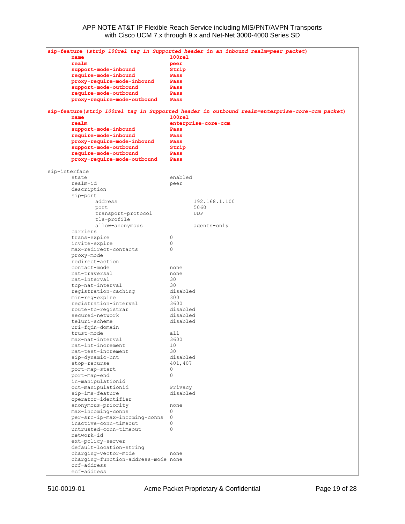| sip-feature (strip 100rel tag in Supported header in an inbound realm=peer packet) |                                                                                                |  |  |  |
|------------------------------------------------------------------------------------|------------------------------------------------------------------------------------------------|--|--|--|
| name                                                                               | $100$ rel                                                                                      |  |  |  |
| realm                                                                              | peer                                                                                           |  |  |  |
| support-mode-inbound                                                               | Strip                                                                                          |  |  |  |
| require-mode-inbound                                                               | Pass                                                                                           |  |  |  |
| proxy-require-mode-inbound                                                         | Pass                                                                                           |  |  |  |
| support-mode-outbound                                                              | Pass                                                                                           |  |  |  |
| require-mode-outbound                                                              | Pass                                                                                           |  |  |  |
| proxy-require-mode-outbound                                                        | Pass                                                                                           |  |  |  |
|                                                                                    | sip-feature(strip 100rel tag in Supported header in outbound realm=enterprise-core-ccm packet) |  |  |  |
| name<br>realm                                                                      | 100 <sub>rel</sub>                                                                             |  |  |  |
|                                                                                    | enterprise-core-ccm                                                                            |  |  |  |
| support-mode-inbound                                                               | Pass                                                                                           |  |  |  |
| require-mode-inbound                                                               | Pass                                                                                           |  |  |  |
| proxy-require-mode-inbound<br>support-mode-outbound                                | Pass                                                                                           |  |  |  |
| require-mode-outbound                                                              | Strip<br>Pass                                                                                  |  |  |  |
|                                                                                    | Pass                                                                                           |  |  |  |
| proxy-require-mode-outbound                                                        |                                                                                                |  |  |  |
|                                                                                    |                                                                                                |  |  |  |
| sip-interface<br>state                                                             | enabled                                                                                        |  |  |  |
| realm-id                                                                           | peer                                                                                           |  |  |  |
| description                                                                        |                                                                                                |  |  |  |
| sip-port                                                                           |                                                                                                |  |  |  |
| address                                                                            | 192.168.1.100                                                                                  |  |  |  |
| port                                                                               | 5060                                                                                           |  |  |  |
| transport-protocol                                                                 | <b>UDP</b>                                                                                     |  |  |  |
| tls-profile                                                                        |                                                                                                |  |  |  |
| allow-anonymous                                                                    | agents-only                                                                                    |  |  |  |
| carriers                                                                           |                                                                                                |  |  |  |
| trans-expire                                                                       | 0                                                                                              |  |  |  |
| invite-expire                                                                      | 0                                                                                              |  |  |  |
| max-redirect-contacts                                                              | 0                                                                                              |  |  |  |
| proxy-mode                                                                         |                                                                                                |  |  |  |
| redirect-action                                                                    |                                                                                                |  |  |  |
| contact-mode                                                                       | none                                                                                           |  |  |  |
| nat-traversal                                                                      | none                                                                                           |  |  |  |
| nat-interval                                                                       | 30                                                                                             |  |  |  |
| tcp-nat-interval                                                                   | 30                                                                                             |  |  |  |
| registration-caching                                                               | disabled                                                                                       |  |  |  |
| min-reg-expire                                                                     | 300                                                                                            |  |  |  |
| registration-interval                                                              | 3600                                                                                           |  |  |  |
| route-to-registrar                                                                 | disabled                                                                                       |  |  |  |
| secured-network                                                                    | disabled                                                                                       |  |  |  |
| teluri-scheme                                                                      | disabled                                                                                       |  |  |  |
| uri-fqdn-domain                                                                    |                                                                                                |  |  |  |
| trust-mode                                                                         | all                                                                                            |  |  |  |
| max-nat-interval                                                                   | 3600                                                                                           |  |  |  |
| nat-int-increment                                                                  | 10                                                                                             |  |  |  |
| nat-test-increment                                                                 | 30                                                                                             |  |  |  |
| sip-dynamic-hnt                                                                    | disabled                                                                                       |  |  |  |
| stop-recurse                                                                       | 401,407                                                                                        |  |  |  |
| port-map-start                                                                     | 0                                                                                              |  |  |  |
| port-map-end                                                                       | $\circ$                                                                                        |  |  |  |
| in-manipulationid                                                                  |                                                                                                |  |  |  |
| out-manipulationid                                                                 | Privacy                                                                                        |  |  |  |
| sip-ims-feature                                                                    | disabled                                                                                       |  |  |  |
| operator-identifier                                                                |                                                                                                |  |  |  |
| anonymous-priority                                                                 | none                                                                                           |  |  |  |
| max-incoming-conns                                                                 | 0                                                                                              |  |  |  |
| per-src-ip-max-incoming-conns                                                      | $\circ$                                                                                        |  |  |  |
| inactive-conn-timeout                                                              | 0                                                                                              |  |  |  |
| untrusted-conn-timeout                                                             | $\circ$                                                                                        |  |  |  |
| network-id                                                                         |                                                                                                |  |  |  |
| ext-policy-server                                                                  |                                                                                                |  |  |  |
| default-location-string                                                            |                                                                                                |  |  |  |
| charging-vector-mode                                                               | none                                                                                           |  |  |  |
| charging-function-address-mode none                                                |                                                                                                |  |  |  |
| ccf-address<br>ecf-address                                                         |                                                                                                |  |  |  |
|                                                                                    |                                                                                                |  |  |  |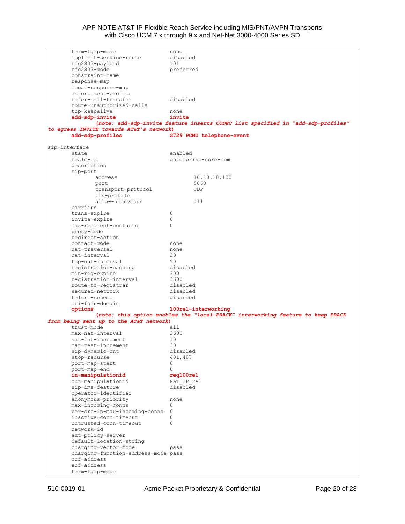| term-tgrp-mode                           | none                                                                             |
|------------------------------------------|----------------------------------------------------------------------------------|
| implicit-service-route                   | disabled                                                                         |
| rfc2833-payload                          | 101                                                                              |
| rfc2833-mode                             | preferred                                                                        |
| constraint-name                          |                                                                                  |
| response-map                             |                                                                                  |
| local-response-map                       |                                                                                  |
| enforcement-profile                      |                                                                                  |
| refer-call-transfer                      | disabled                                                                         |
| route-unauthorized-calls                 |                                                                                  |
| tcp-keepalive                            | none                                                                             |
| add-sdp-invite                           | invite                                                                           |
|                                          | (note: add-sdp-invite feature inserts CODEC list specified in "add-sdp-profiles" |
| to egress INVITE towards AT&T's network) |                                                                                  |
| add-sdp-profiles                         | G729 PCMU telephone-event                                                        |
|                                          |                                                                                  |
| sip-interface                            |                                                                                  |
| state                                    | enabled                                                                          |
| realm-id                                 | enterprise-core-ccm                                                              |
| description                              |                                                                                  |
| sip-port                                 |                                                                                  |
| address                                  | 10.10.10.100                                                                     |
| port                                     | 5060                                                                             |
| transport-protocol                       | UDP                                                                              |
| tls-profile                              |                                                                                  |
| allow-anonymous                          | all                                                                              |
| carriers                                 |                                                                                  |
| trans-expire                             | 0                                                                                |
| invite-expire                            | 0                                                                                |
| max-redirect-contacts                    | 0                                                                                |
| proxy-mode                               |                                                                                  |
| redirect-action                          |                                                                                  |
| contact-mode                             | none                                                                             |
| nat-traversal                            | none                                                                             |
| nat-interval                             | 30                                                                               |
| tcp-nat-interval                         | 90                                                                               |
| registration-caching                     | disabled                                                                         |
| min-reg-expire                           | 300                                                                              |
| registration-interval                    | 3600                                                                             |
| route-to-registrar                       | disabled                                                                         |
| secured-network                          | disabled                                                                         |
| teluri-scheme                            | disabled                                                                         |
| uri-fqdn-domain                          |                                                                                  |
| options                                  | 100rel-interworking                                                              |
|                                          | (note: this option enables the "local-PRACK" interworking feature to keep PRACK  |
| from being sent up to the AT&T network)  |                                                                                  |
| trust-mode                               | all                                                                              |
| max-nat-interval                         | 3600                                                                             |
| nat-int-increment                        | 10                                                                               |
| nat-test-increment                       | 30                                                                               |
| sip-dynamic-hnt                          | disabled                                                                         |
| stop-recurse                             | 401,407                                                                          |
| port-map-start                           | 0                                                                                |
| port-map-end                             | $\Omega$                                                                         |
| in-manipulationid                        | req100rel                                                                        |
| out-manipulationid                       | NAT IP rel                                                                       |
| sip-ims-feature                          | disabled                                                                         |
| operator-identifier                      |                                                                                  |
| anonymous-priority                       | none                                                                             |
| max-incoming-conns                       | $\Omega$                                                                         |
| per-src-ip-max-incoming-conns            | $\circ$                                                                          |
| inactive-conn-timeout                    | 0                                                                                |
| untrusted-conn-timeout                   | $\circ$                                                                          |
| network-id                               |                                                                                  |
|                                          |                                                                                  |
| ext-policy-server                        |                                                                                  |
| default-location-string                  |                                                                                  |
| charging-vector-mode                     | pass                                                                             |
| charging-function-address-mode pass      |                                                                                  |
| ccf-address                              |                                                                                  |
| ecf-address                              |                                                                                  |
| term-tgrp-mode                           |                                                                                  |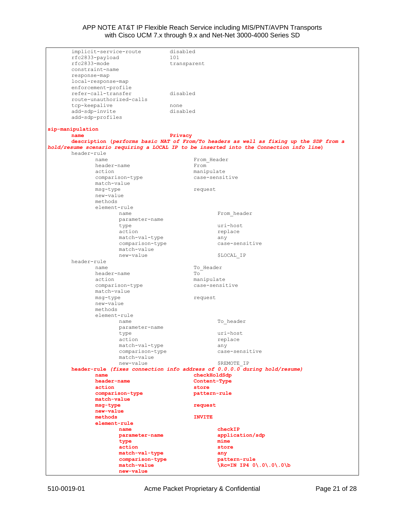| implicit-service-route   | disabled                                                                                |
|--------------------------|-----------------------------------------------------------------------------------------|
| rfc2833-payload          | 101                                                                                     |
|                          |                                                                                         |
| rfc2833-mode             | transparent                                                                             |
| constraint-name          |                                                                                         |
|                          |                                                                                         |
| response-map             |                                                                                         |
| local-response-map       |                                                                                         |
|                          |                                                                                         |
| enforcement-profile      |                                                                                         |
| refer-call-transfer      | disabled                                                                                |
|                          |                                                                                         |
| route-unauthorized-calls |                                                                                         |
| tcp-keepalive            | none                                                                                    |
|                          | disabled                                                                                |
| add-sdp-invite           |                                                                                         |
| add-sdp-profiles         |                                                                                         |
|                          |                                                                                         |
|                          |                                                                                         |
| sip-manipulation         |                                                                                         |
| name                     | Privacy                                                                                 |
|                          | description (performs basic NAT of From/To headers as well as fixing up the SDP from a  |
|                          |                                                                                         |
|                          | hold/resume scenario requiring a LOCAL IP to be inserted into the Connection info line) |
| header-rule              |                                                                                         |
|                          |                                                                                         |
| name                     | From Header                                                                             |
| header-name              | From                                                                                    |
| action                   |                                                                                         |
|                          | manipulate                                                                              |
| comparison-type          | case-sensitive                                                                          |
| match-value              |                                                                                         |
|                          |                                                                                         |
| msg-type                 | request                                                                                 |
| new-value                |                                                                                         |
|                          |                                                                                         |
| methods                  |                                                                                         |
| element-rule             |                                                                                         |
| name                     | From header                                                                             |
|                          |                                                                                         |
| parameter-name           |                                                                                         |
| type                     | uri-host                                                                                |
|                          |                                                                                         |
| action                   | replace                                                                                 |
| match-val-type           | any                                                                                     |
| comparison-type          | case-sensitive                                                                          |
|                          |                                                                                         |
| match-value              |                                                                                         |
| new-value                | \$LOCAL IP                                                                              |
|                          |                                                                                         |
| header-rule              |                                                                                         |
| name                     | To Header                                                                               |
| header-name              | To                                                                                      |
|                          |                                                                                         |
| action                   | manipulate                                                                              |
| comparison-type          | case-sensitive                                                                          |
|                          |                                                                                         |
| match-value              |                                                                                         |
| msg-type                 | request                                                                                 |
| new-value                |                                                                                         |
|                          |                                                                                         |
| methods                  |                                                                                         |
| element-rule             |                                                                                         |
|                          |                                                                                         |
| name                     | To header                                                                               |
| parameter-name           |                                                                                         |
|                          | uri-host                                                                                |
| type                     |                                                                                         |
| action                   | replace                                                                                 |
| match-val-type           | any                                                                                     |
|                          |                                                                                         |
| comparison-type          | case-sensitive                                                                          |
| match-value              |                                                                                         |
|                          | \$REMOTE IP                                                                             |
|                          |                                                                                         |
| new-value                |                                                                                         |
|                          | header-rule (fixes connection info address of 0.0.0.0 during hold/resume)               |
| name                     |                                                                                         |
|                          | checkHoldSdp                                                                            |
| header-name              | Content-Type                                                                            |
| action                   | store                                                                                   |
|                          |                                                                                         |
| comparison-type          | pattern-rule                                                                            |
| match-value              |                                                                                         |
|                          |                                                                                         |
| msq-type                 | request                                                                                 |
| new-value                |                                                                                         |
| methods                  | <b>INVITE</b>                                                                           |
|                          |                                                                                         |
| element-rule             |                                                                                         |
| name                     | checkIP                                                                                 |
|                          |                                                                                         |
| parameter-name           | application/sdp                                                                         |
| type                     | mime                                                                                    |
| action                   | store                                                                                   |
|                          |                                                                                         |
| match-val-type           | any                                                                                     |
| comparison-type          | pattern-rule                                                                            |
|                          |                                                                                         |
| match-value<br>new-value | $\begin{pmatrix} Re=IN & IP4 & 0 \\ . & 0 \\ . & 0 \\ . & 0 \end{pmatrix}$              |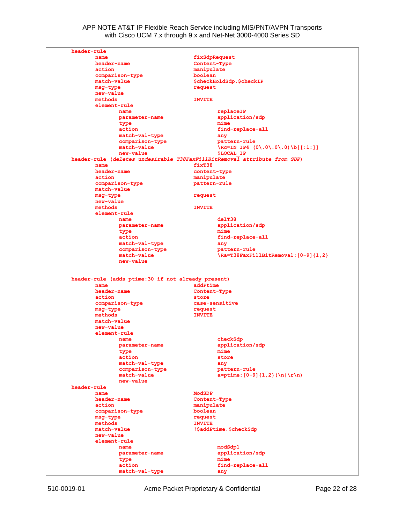| header-rule                       |                                                                                    |
|-----------------------------------|------------------------------------------------------------------------------------|
| name                              | fixSdpRequest                                                                      |
| header-name                       | Content-Type                                                                       |
| action                            | manipulate                                                                         |
| comparison-type                   | boolean                                                                            |
| match-value                       | \$checkHoldSdp.\$checkIP                                                           |
| msq-type                          | request                                                                            |
| new-value                         |                                                                                    |
| methods                           | <b>INVITE</b>                                                                      |
| element-rule                      |                                                                                    |
| name                              | replaceIP                                                                          |
| parameter-name                    | application/sdp                                                                    |
| type                              | mime                                                                               |
| action                            | find-replace-all                                                                   |
| match-val-type<br>comparison-type | any                                                                                |
| match-value                       | pattern-rule<br>$\begin{bmatrix} Re=IN & IP4 & (0 \\ .0 \\ .0 \\ .0 \end{bmatrix}$ |
| new-value                         | <b>\$LOCAL IP</b>                                                                  |
|                                   | header-rule (deletes undesirable T38FaxFillBitRemoval attribute from SDP)          |
| name                              | fixT38                                                                             |
| header-name                       | content-type                                                                       |
| action                            | manipulate                                                                         |
| comparison-type                   | pattern-rule                                                                       |
| match-value                       |                                                                                    |
| msq-type                          | request                                                                            |
| new-value                         |                                                                                    |
| methods                           | <b>INVITE</b>                                                                      |
| element-rule                      |                                                                                    |
| name                              | de1T38                                                                             |
| parameter-name                    | application/sdp                                                                    |
| type                              | mime                                                                               |
| action                            | find-replace-all                                                                   |
| match-val-type                    | any                                                                                |
| comparison-type                   | pattern-rule                                                                       |
| match-value                       | \Ra=T38FaxFillBitRemoval: [0-9] {1,2}                                              |
| new-value                         |                                                                                    |
| name<br>header-name               | addPtime<br>Content-Type                                                           |
| action                            | store                                                                              |
| comparison-type                   | case-sensitive                                                                     |
| msg-type                          | request                                                                            |
| methods                           | <b>INVITE</b>                                                                      |
| match-value                       |                                                                                    |
|                                   |                                                                                    |
|                                   |                                                                                    |
| new-value                         |                                                                                    |
| element-rule                      |                                                                                    |
| name                              | checkSdp                                                                           |
| parameter-name                    | application/sdp                                                                    |
| type                              | mime                                                                               |
| action                            | store                                                                              |
| match-val-type                    | any                                                                                |
| comparison-type                   | pattern-rule                                                                       |
| match-value                       | $a = p \times (0-9) (1,2) (\n) \times (n)$                                         |
| new-value                         |                                                                                    |
|                                   |                                                                                    |
| name                              | ModSDP                                                                             |
| header-name                       | Content-Type                                                                       |
| action                            | manipulate                                                                         |
| comparison-type                   | boolean                                                                            |
| msg-type                          | request                                                                            |
| methods                           | <b>INVITE</b>                                                                      |
| match-value                       | !\$addPtime.\$checkSdp                                                             |
| new-value                         |                                                                                    |
| element-rule                      |                                                                                    |
| header-rule<br>name               | modSdp1                                                                            |
| parameter-name                    | application/sdp                                                                    |
| type                              | mime                                                                               |
| action<br>match-val-type          | find-replace-all<br>any                                                            |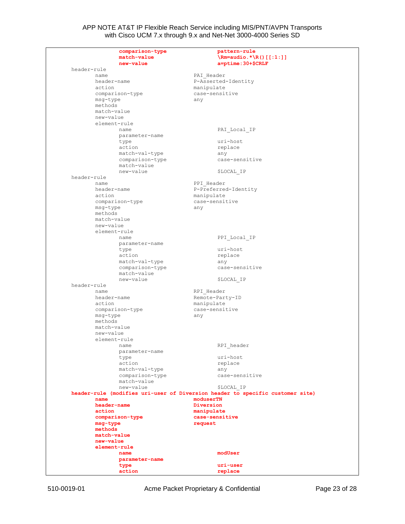|             | comparison-type<br>match-value<br>new-value | pattern-rule<br>$\mathrm{Rm}$ =audio. * $\R()$ [[:1:]]<br>$a = p$ time: $30 + \frac{6}{7}$ CRLF |
|-------------|---------------------------------------------|-------------------------------------------------------------------------------------------------|
| header-rule |                                             |                                                                                                 |
|             | name                                        | PAI Header                                                                                      |
|             | header-name                                 | P-Asserted-Identity                                                                             |
|             | action                                      | manipulate                                                                                      |
|             | comparison-type                             | case-sensitive                                                                                  |
|             |                                             |                                                                                                 |
|             | msg-type<br>methods                         | any                                                                                             |
|             |                                             |                                                                                                 |
|             | match-value                                 |                                                                                                 |
|             | new-value                                   |                                                                                                 |
|             | element-rule                                |                                                                                                 |
|             | name                                        | PAI Local IP                                                                                    |
|             | parameter-name                              |                                                                                                 |
|             | type                                        | uri-host                                                                                        |
|             | action                                      | replace                                                                                         |
|             | match-val-type                              | any                                                                                             |
|             | comparison-type                             | case-sensitive                                                                                  |
|             | match-value                                 |                                                                                                 |
|             | new-value                                   | \$LOCAL IP                                                                                      |
| header-rule |                                             |                                                                                                 |
|             | name                                        | PPI Header                                                                                      |
|             | header-name                                 | P-Preferred-Identity                                                                            |
|             | action                                      | manipulate                                                                                      |
|             | comparison-type                             | case-sensitive                                                                                  |
|             | msg-type                                    | any                                                                                             |
|             | methods                                     |                                                                                                 |
|             | match-value                                 |                                                                                                 |
|             | new-value                                   |                                                                                                 |
|             | element-rule                                |                                                                                                 |
|             | name                                        | PPI Local IP                                                                                    |
|             | parameter-name                              |                                                                                                 |
|             | type                                        | uri-host                                                                                        |
|             | action                                      | replace                                                                                         |
|             | match-val-type                              | any                                                                                             |
|             | comparison-type                             | case-sensitive                                                                                  |
|             | match-value                                 |                                                                                                 |
|             | new-value                                   | \$LOCAL IP                                                                                      |
| header-rule |                                             |                                                                                                 |
|             | name                                        | RPI Header                                                                                      |
|             | header-name                                 | Remote-Party-ID                                                                                 |
|             | action                                      | manipulate                                                                                      |
|             | comparison-type                             | case-sensitive                                                                                  |
|             | msg-type                                    | any                                                                                             |
|             | methods                                     |                                                                                                 |
|             | match-value                                 |                                                                                                 |
|             | new-value                                   |                                                                                                 |
|             | element-rule                                |                                                                                                 |
|             |                                             |                                                                                                 |
|             |                                             |                                                                                                 |
|             | name                                        | RPI header                                                                                      |
|             | parameter-name                              |                                                                                                 |
|             | type                                        | uri-host                                                                                        |
|             | action                                      | replace                                                                                         |
|             | match-val-type                              | any                                                                                             |
|             | comparison-type                             | case-sensitive                                                                                  |
|             | match-value                                 |                                                                                                 |
|             | new-value                                   | \$LOCAL IP                                                                                      |
|             |                                             | header-rule (modifies uri-user of Diversion header to specific customer site)                   |
|             | name                                        | moduserTN                                                                                       |
|             | header-name                                 | Diversion                                                                                       |
|             | action                                      | manipulate                                                                                      |
|             | comparison-type                             | case-sensitive                                                                                  |
|             | msg-type                                    | request                                                                                         |
|             | methods                                     |                                                                                                 |
|             | match-value                                 |                                                                                                 |
|             | new-value                                   |                                                                                                 |
|             | element-rule                                |                                                                                                 |
|             | name                                        | modUser                                                                                         |
|             | parameter-name                              |                                                                                                 |
|             | type                                        | uri-user                                                                                        |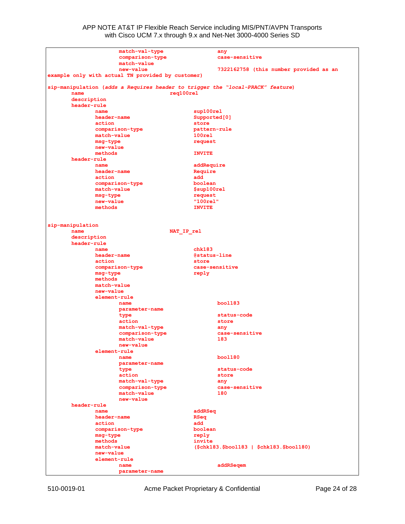| match-val-type<br>comparison-type                 | any<br>case-sensitive                                                                       |
|---------------------------------------------------|---------------------------------------------------------------------------------------------|
| match-value<br>new-value                          |                                                                                             |
| example only with actual TN provided by customer) | 7322162758 (this number provided as an                                                      |
| name                                              | sip-manipulation (adds a Requires header to trigger the "local-PRACK" feature)<br>reg100rel |
| description                                       |                                                                                             |
| header-rule                                       |                                                                                             |
| name                                              | sup100rel                                                                                   |
| header-name                                       | Supported [0]                                                                               |
| action<br>comparison-type                         | store<br>pattern-rule                                                                       |
| match-value                                       | 100 <sub>rel</sub>                                                                          |
| msq-type                                          | request                                                                                     |
| new-value                                         |                                                                                             |
| methods                                           | <b>INVITE</b>                                                                               |
| header-rule                                       |                                                                                             |
| name                                              | addRequire                                                                                  |
| header-name<br>action                             | Require<br>add                                                                              |
| comparison-type                                   | boolean                                                                                     |
| match-value                                       | \$sup100rel                                                                                 |
| msq-type                                          | request                                                                                     |
| new-value                                         | "100rel"                                                                                    |
| methods                                           | <b>INVITE</b>                                                                               |
|                                                   |                                                                                             |
|                                                   |                                                                                             |
| sip-manipulation<br>name                          | NAT IP rel                                                                                  |
| description                                       |                                                                                             |
| header-rule                                       |                                                                                             |
| name                                              | chk183                                                                                      |
| header-name                                       | @status-line                                                                                |
| action                                            | store                                                                                       |
| comparison-type                                   | case-sensitive                                                                              |
| msg-type                                          | reply                                                                                       |
| methods<br>match-value                            |                                                                                             |
| new-value                                         |                                                                                             |
| element-rule                                      |                                                                                             |
| name                                              | boo1183                                                                                     |
| parameter-name                                    |                                                                                             |
| type                                              | status-code                                                                                 |
| action                                            | store                                                                                       |
| match-val-type                                    | any                                                                                         |
| comparison-type<br>match-value                    | case-sensitive<br>183                                                                       |
| new-value                                         |                                                                                             |
| element-rule                                      |                                                                                             |
| name                                              | boo1180                                                                                     |
| parameter-name                                    |                                                                                             |
| type                                              | status-code                                                                                 |
| action                                            | store                                                                                       |
| match-val-type                                    | any                                                                                         |
| comparison-type<br>match-value                    | case-sensitive<br>180                                                                       |
| new-value                                         |                                                                                             |
| header-rule                                       |                                                                                             |
| name                                              | addRSeq                                                                                     |
| header-name                                       | RSeq                                                                                        |
| action                                            | add                                                                                         |
| comparison-type                                   | boolean                                                                                     |
| msg-type                                          | reply                                                                                       |
| methods<br>match-value                            | invite                                                                                      |
| new-value                                         | (\$chk183.\$bool183   \$chk183.\$bool180)                                                   |
| element-rule                                      |                                                                                             |
| name                                              | addRSeqem                                                                                   |
| parameter-name                                    |                                                                                             |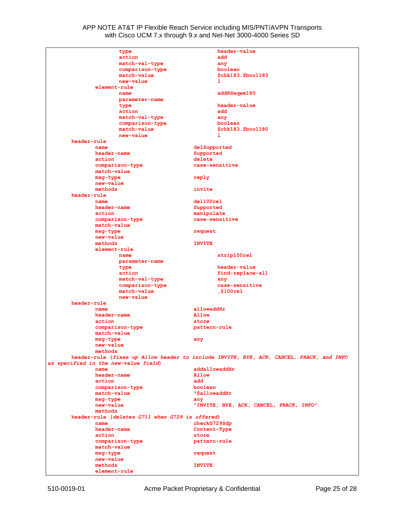|                                      | type                                            |                | header-value                                                                            |
|--------------------------------------|-------------------------------------------------|----------------|-----------------------------------------------------------------------------------------|
|                                      | action                                          |                | add                                                                                     |
|                                      | match-val-type                                  |                | any                                                                                     |
|                                      | comparison-type                                 |                | boolean                                                                                 |
|                                      | match-value                                     |                | \$chk183.\$bool183                                                                      |
|                                      | new-value                                       |                | 1                                                                                       |
| element-rule                         |                                                 |                |                                                                                         |
|                                      |                                                 |                |                                                                                         |
|                                      | name                                            |                | addRSeqem180                                                                            |
|                                      | parameter-name                                  |                |                                                                                         |
|                                      | type                                            |                | header-value                                                                            |
|                                      | action                                          |                | add                                                                                     |
|                                      | match-val-type                                  |                | any                                                                                     |
|                                      | comparison-type                                 |                | boolean                                                                                 |
|                                      | match-value                                     |                | \$chk183.\$bool180                                                                      |
|                                      | new-value                                       |                | 1                                                                                       |
| header-rule                          |                                                 |                |                                                                                         |
| name                                 |                                                 | delSupported   |                                                                                         |
| header-name                          |                                                 | Supported      |                                                                                         |
| action                               |                                                 | delete         |                                                                                         |
|                                      | comparison-type                                 | case-sensitive |                                                                                         |
| match-value                          |                                                 |                |                                                                                         |
| msq-type                             |                                                 |                |                                                                                         |
|                                      |                                                 | reply          |                                                                                         |
| new-value                            |                                                 | invite         |                                                                                         |
| methods                              |                                                 |                |                                                                                         |
| header-rule                          |                                                 |                |                                                                                         |
| name                                 |                                                 | del100rel      |                                                                                         |
| header-name                          |                                                 | Supported      |                                                                                         |
| action                               |                                                 | manipulate     |                                                                                         |
|                                      | comparison-type                                 | case-sensitive |                                                                                         |
| match-value                          |                                                 |                |                                                                                         |
| msg-type                             |                                                 | request        |                                                                                         |
| new-value                            |                                                 |                |                                                                                         |
| methods                              |                                                 | <b>INVITE</b>  |                                                                                         |
| element-rule                         |                                                 |                |                                                                                         |
|                                      | name                                            |                | strip100rel                                                                             |
|                                      | parameter-name                                  |                |                                                                                         |
|                                      |                                                 |                | header-value                                                                            |
|                                      | type                                            |                |                                                                                         |
|                                      | action                                          |                | find-replace-all                                                                        |
|                                      | match-val-type                                  |                | any                                                                                     |
|                                      | comparison-type                                 |                | case-sensitive                                                                          |
|                                      | match-value                                     |                | ,\$100rel                                                                               |
|                                      | new-value                                       |                |                                                                                         |
| header-rule                          |                                                 |                |                                                                                         |
| name                                 |                                                 | allowaddHr     |                                                                                         |
| header-name                          |                                                 | Allow          |                                                                                         |
| action                               |                                                 | store          |                                                                                         |
|                                      | comparison-type                                 | pattern-rule   |                                                                                         |
| match-value                          |                                                 |                |                                                                                         |
| msq-type                             |                                                 | any            |                                                                                         |
| new-value                            |                                                 |                |                                                                                         |
| methods                              |                                                 |                |                                                                                         |
|                                      |                                                 |                | header-rule (fixes up Allow header to include INVITE, BYE, ACK, CANCEL, PRACK, and INFO |
| as specified in the new-value field) |                                                 |                |                                                                                         |
| name                                 |                                                 | addallowaddHr  |                                                                                         |
|                                      |                                                 | Allow          |                                                                                         |
| header-name                          |                                                 |                |                                                                                         |
| action                               |                                                 | add            |                                                                                         |
|                                      | comparison-type                                 | boolean        |                                                                                         |
| match-value                          |                                                 | !SallowaddHr   |                                                                                         |
| msq-type                             |                                                 | any            |                                                                                         |
| new-value                            |                                                 |                | "INVITE, BYE, ACK, CANCEL, PRACK, INFO"                                                 |
| methods                              |                                                 |                |                                                                                         |
|                                      | header-rule (deletes G711 when G729 is offered) |                |                                                                                         |
| name                                 |                                                 | checkG729Sdp   |                                                                                         |
| header-name                          |                                                 | Content-Type   |                                                                                         |
| action                               |                                                 | store          |                                                                                         |
|                                      | comparison-type                                 | pattern-rule   |                                                                                         |
| match-value                          |                                                 |                |                                                                                         |
| msg-type                             |                                                 | request        |                                                                                         |
| new-value                            |                                                 |                |                                                                                         |
| methods                              |                                                 | <b>INVITE</b>  |                                                                                         |
|                                      |                                                 |                |                                                                                         |
| element-rule                         |                                                 |                |                                                                                         |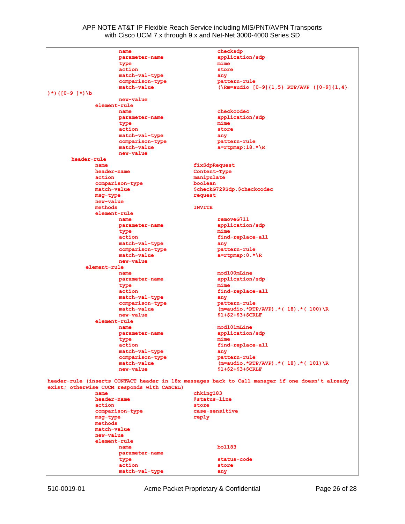| name                                        | checksdp                                                                                        |
|---------------------------------------------|-------------------------------------------------------------------------------------------------|
| parameter-name                              | application/sdp                                                                                 |
| type                                        | mime                                                                                            |
| action                                      | store                                                                                           |
| match-val-type                              | any                                                                                             |
| comparison-type                             | pattern-rule                                                                                    |
| match-value                                 | (\Rm=audio $[0-9]$ {1,5} RTP/AVP ( $[0-9]$ {1,4}                                                |
| $)$ *) ([0-9 ]*) \b                         |                                                                                                 |
| new-value                                   |                                                                                                 |
| element-rule                                |                                                                                                 |
| name                                        | checkcodec                                                                                      |
| parameter-name                              | application/sdp                                                                                 |
| type                                        | mime                                                                                            |
| action                                      | store                                                                                           |
| match-val-type                              | any                                                                                             |
| comparison-type                             | pattern-rule                                                                                    |
| match-value                                 | $a = r$ tpmap:18.*\R                                                                            |
| new-value                                   |                                                                                                 |
| header-rule                                 |                                                                                                 |
| name<br>header-name                         | fixSdpRequest                                                                                   |
| action                                      | Content-Type<br>manipulate                                                                      |
| comparison-type                             | boolean                                                                                         |
| match-value                                 | \$checkG729Sdp.\$checkcodec                                                                     |
| msg-type                                    | request                                                                                         |
| new-value                                   |                                                                                                 |
| methods                                     | <b>INVITE</b>                                                                                   |
| element-rule                                |                                                                                                 |
| name                                        | removeG711                                                                                      |
| parameter-name                              | application/sdp                                                                                 |
| type                                        | mime                                                                                            |
| action                                      | find-replace-all                                                                                |
| match-val-type                              | any                                                                                             |
| comparison-type                             | pattern-rule                                                                                    |
| match-value                                 | $a = r$ tpmap: 0.*\R                                                                            |
| new-value                                   |                                                                                                 |
| element-rule                                |                                                                                                 |
| name                                        | mod100mLine                                                                                     |
| parameter-name                              | application/sdp                                                                                 |
| type                                        | mime                                                                                            |
| action                                      | find-replace-all                                                                                |
| match-val-type                              | any                                                                                             |
| comparison-type                             | pattern-rule                                                                                    |
| match-value                                 | $(m=audio.*RTP/AVP).*(18).* (100) R)$                                                           |
| new-value<br>element-rule                   | \$1+\$2+\$3+\$CRLF                                                                              |
| name                                        | mod101mLine                                                                                     |
| parameter-name                              | application/sdp                                                                                 |
| type                                        | mime                                                                                            |
| action                                      | find-replace-all                                                                                |
| match-val-type                              | any                                                                                             |
| comparison-type                             | pattern-rule                                                                                    |
| match-value                                 | $(m=audio.*RTP/AVP) .*( 18) .*( 101) \R$                                                        |
| new-value                                   | \$1+\$2+\$3+\$CRLF                                                                              |
|                                             |                                                                                                 |
|                                             | header-rule (inserts CONTACT header in 18x messages back to Call manager if one doesn't already |
| exist; otherwise CUCM responds with CANCEL) |                                                                                                 |
| name                                        | chking183                                                                                       |
| header-name                                 | @status-line                                                                                    |
| action                                      | store                                                                                           |
| comparison-type                             | case-sensitive                                                                                  |
| msg-type                                    | reply                                                                                           |
| methods                                     |                                                                                                 |
| match-value<br>new-value                    |                                                                                                 |
| element-rule                                |                                                                                                 |
| name                                        | bo1183                                                                                          |
| parameter-name                              |                                                                                                 |
| type                                        | status-code                                                                                     |
| action                                      | store                                                                                           |
| match-val-type                              | any                                                                                             |
|                                             |                                                                                                 |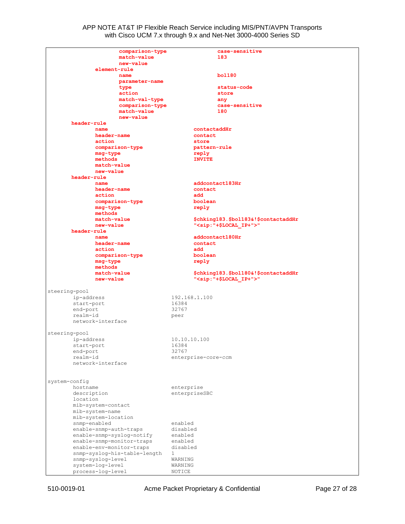|               | comparison-type                       | case-sensitive                               |
|---------------|---------------------------------------|----------------------------------------------|
|               | match-value                           | 183                                          |
|               | new-value                             |                                              |
|               | element-rule                          |                                              |
|               | name                                  | bo1180                                       |
|               | parameter-name                        |                                              |
|               | type                                  | status-code                                  |
|               | action                                | store                                        |
|               |                                       |                                              |
|               | match-val-type                        | any                                          |
|               | comparison-type                       | case-sensitive                               |
|               | match-value                           | 180                                          |
|               | new-value                             |                                              |
|               | header-rule                           |                                              |
|               | name                                  | contactaddHr                                 |
|               | header-name                           | contact                                      |
|               | action                                | store                                        |
|               | comparison-type                       | pattern-rule                                 |
|               | msg-type                              | reply                                        |
|               | methods                               | <b>INVITE</b>                                |
|               | match-value                           |                                              |
|               | new-value                             |                                              |
|               |                                       |                                              |
|               | header-rule                           |                                              |
|               | name                                  | addcontact183Hr                              |
|               | header-name                           | contact                                      |
|               | action                                | add                                          |
|               | comparison-type                       | boolean                                      |
|               | msg-type                              | reply                                        |
|               | methods                               |                                              |
|               | match-value                           | \$chking183.\$bol183&!\$contactaddHr         |
|               | new-value                             | " <sip: "+\$local="" ip+"="">"</sip:>        |
|               | header-rule                           |                                              |
|               | name                                  | addcontact180Hr                              |
|               |                                       |                                              |
|               | header-name                           | contact                                      |
|               | action                                | add                                          |
|               | comparison-type                       | boolean                                      |
|               | msg-type                              | reply                                        |
|               | methods                               |                                              |
|               | match-value                           | \$chking183.\$bol180&!\$contactaddHr         |
|               | new-value                             | " <sip:"+\$local_ip+">"</sip:"+\$local_ip+"> |
|               |                                       |                                              |
| steering-pool |                                       |                                              |
|               | ip-address                            | 192.168.1.100                                |
|               | start-port                            | 16384                                        |
| end-port      |                                       | 32767                                        |
| realm-id      |                                       |                                              |
|               | network-interface                     | peer                                         |
|               |                                       |                                              |
|               |                                       |                                              |
| steering-pool |                                       |                                              |
|               | ip-address                            | 10.10.10.100                                 |
|               | start-port                            | 16384                                        |
| end-port      |                                       | 32767                                        |
| realm-id      |                                       | enterprise-core-ccm                          |
|               | network-interface                     |                                              |
|               |                                       |                                              |
|               |                                       |                                              |
| system-config |                                       |                                              |
| hostname      |                                       | enterprise                                   |
|               |                                       | enterpriseSBC                                |
|               |                                       |                                              |
| description   |                                       |                                              |
| location      |                                       |                                              |
|               | mib-system-contact                    |                                              |
|               | mib-system-name                       |                                              |
|               | mib-system-location                   |                                              |
|               | snmp-enabled                          | enabled                                      |
|               | enable-snmp-auth-traps                | disabled                                     |
|               | enable-snmp-syslog-notify             | enabled                                      |
|               | enable-snmp-monitor-traps             | enabled                                      |
|               | enable-env-monitor-traps              | disabled                                     |
|               |                                       | 1                                            |
|               | snmp-syslog-his-table-length          |                                              |
|               | snmp-syslog-level                     | WARNING                                      |
|               | system-log-level<br>process-log-level | WARNING<br>NOTICE                            |